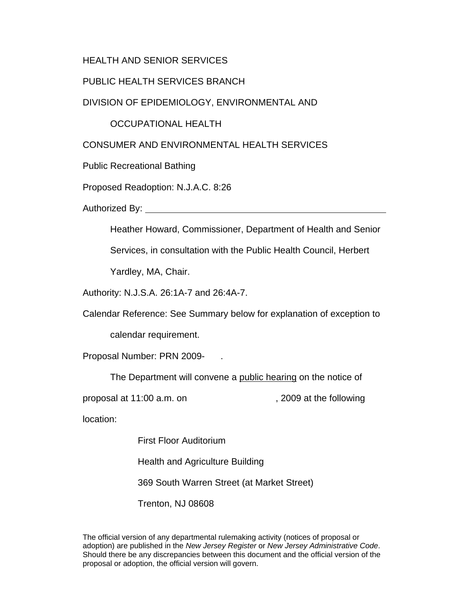HEALTH AND SENIOR SERVICES

PUBLIC HEALTH SERVICES BRANCH

DIVISION OF EPIDEMIOLOGY, ENVIRONMENTAL AND

# OCCUPATIONAL HEALTH

CONSUMER AND ENVIRONMENTAL HEALTH SERVICES

Public Recreational Bathing

Proposed Readoption: N.J.A.C. 8:26

Authorized By:

Heather Howard, Commissioner, Department of Health and Senior

Services, in consultation with the Public Health Council, Herbert

Yardley, MA, Chair.

Authority: N.J.S.A. 26:1A-7 and 26:4A-7.

Calendar Reference: See Summary below for explanation of exception to

calendar requirement.

Proposal Number: PRN 2009-

The Department will convene a public hearing on the notice of

proposal at 11:00 a.m. on , 2009 at the following

location:

First Floor Auditorium

Health and Agriculture Building

369 South Warren Street (at Market Street)

Trenton, NJ 08608

The official version of any departmental rulemaking activity (notices of proposal or adoption) are published in the *New Jersey Register* or *New Jersey Administrative Code*. Should there be any discrepancies between this document and the official version of the proposal or adoption, the official version will govern.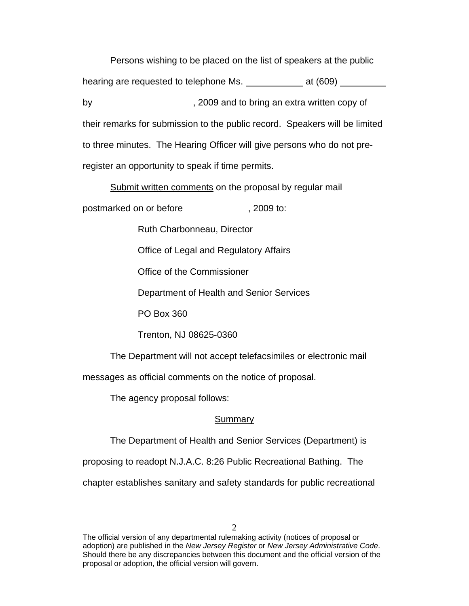Persons wishing to be placed on the list of speakers at the public hearing are requested to telephone Ms.  $\frac{1}{1}$  at (609)  $\frac{1}{1}$ by , 2009 and to bring an extra written copy of their remarks for submission to the public record. Speakers will be limited to three minutes. The Hearing Officer will give persons who do not preregister an opportunity to speak if time permits.

Submit written comments on the proposal by regular mail

postmarked on or before the case of the control of the postmarked on or before  $\sim$  2009 to:

Ruth Charbonneau, Director

Office of Legal and Regulatory Affairs

Office of the Commissioner

Department of Health and Senior Services

PO Box 360

Trenton, NJ 08625-0360

The Department will not accept telefacsimiles or electronic mail

messages as official comments on the notice of proposal.

The agency proposal follows:

#### Summary

The Department of Health and Senior Services (Department) is

proposing to readopt N.J.A.C. 8:26 Public Recreational Bathing. The

chapter establishes sanitary and safety standards for public recreational

The official version of any departmental rulemaking activity (notices of proposal or adoption) are published in the *New Jersey Register* or *New Jersey Administrative Code*. Should there be any discrepancies between this document and the official version of the proposal or adoption, the official version will govern.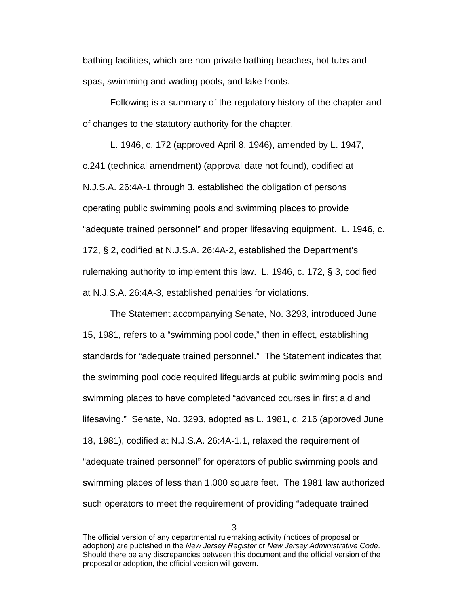bathing facilities, which are non-private bathing beaches, hot tubs and spas, swimming and wading pools, and lake fronts.

Following is a summary of the regulatory history of the chapter and of changes to the statutory authority for the chapter.

L. 1946, c. 172 (approved April 8, 1946), amended by L. 1947, c.241 (technical amendment) (approval date not found), codified at N.J.S.A. 26:4A-1 through 3, established the obligation of persons operating public swimming pools and swimming places to provide "adequate trained personnel" and proper lifesaving equipment. L. 1946, c. 172, § 2, codified at N.J.S.A. 26:4A-2, established the Department's rulemaking authority to implement this law. L. 1946, c. 172, § 3, codified at N.J.S.A. 26:4A-3, established penalties for violations.

The Statement accompanying Senate, No. 3293, introduced June 15, 1981, refers to a "swimming pool code," then in effect, establishing standards for "adequate trained personnel." The Statement indicates that the swimming pool code required lifeguards at public swimming pools and swimming places to have completed "advanced courses in first aid and lifesaving." Senate, No. 3293, adopted as L. 1981, c. 216 (approved June 18, 1981), codified at N.J.S.A. 26:4A-1.1, relaxed the requirement of "adequate trained personnel" for operators of public swimming pools and swimming places of less than 1,000 square feet. The 1981 law authorized such operators to meet the requirement of providing "adequate trained

The official version of any departmental rulemaking activity (notices of proposal or adoption) are published in the *New Jersey Register* or *New Jersey Administrative Code*. Should there be any discrepancies between this document and the official version of the proposal or adoption, the official version will govern.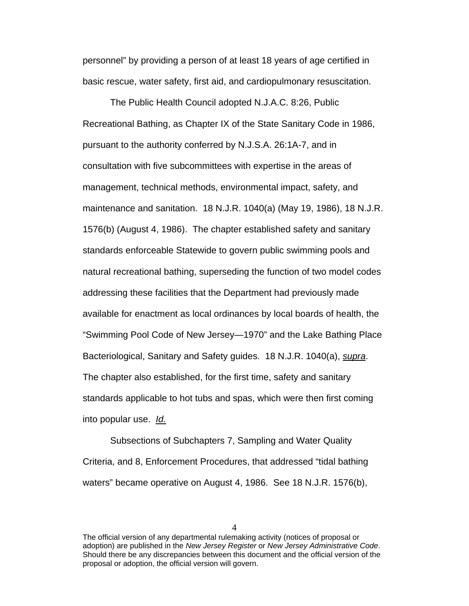personnel" by providing a person of at least 18 years of age certified in basic rescue, water safety, first aid, and cardiopulmonary resuscitation.

The Public Health Council adopted N.J.A.C. 8:26, Public Recreational Bathing, as Chapter IX of the State Sanitary Code in 1986, pursuant to the authority conferred by N.J.S.A. 26:1A-7, and in consultation with five subcommittees with expertise in the areas of management, technical methods, environmental impact, safety, and maintenance and sanitation. 18 N.J.R. 1040(a) (May 19, 1986), 18 N.J.R. 1576(b) (August 4, 1986). The chapter established safety and sanitary standards enforceable Statewide to govern public swimming pools and natural recreational bathing, superseding the function of two model codes addressing these facilities that the Department had previously made available for enactment as local ordinances by local boards of health, the "Swimming Pool Code of New Jersey—1970" and the Lake Bathing Place Bacteriological, Sanitary and Safety guides. 18 N.J.R. 1040(a), *supra*. The chapter also established, for the first time, safety and sanitary standards applicable to hot tubs and spas, which were then first coming into popular use. *Id.*

Subsections of Subchapters 7, Sampling and Water Quality Criteria, and 8, Enforcement Procedures, that addressed "tidal bathing waters" became operative on August 4, 1986. See 18 N.J.R. 1576(b),

 $\Delta$ 

The official version of any departmental rulemaking activity (notices of proposal or adoption) are published in the *New Jersey Register* or *New Jersey Administrative Code*. Should there be any discrepancies between this document and the official version of the proposal or adoption, the official version will govern.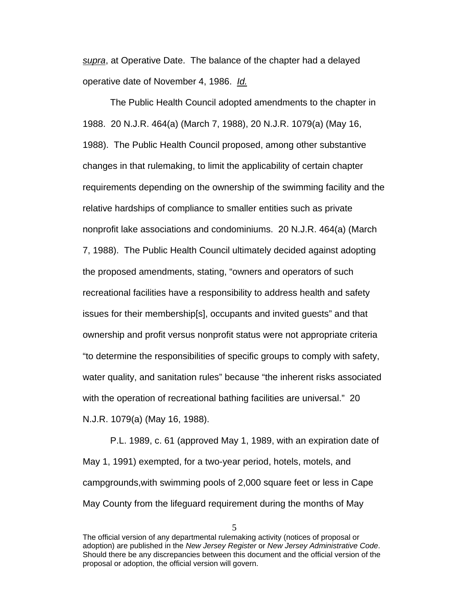*supra*, at Operative Date. The balance of the chapter had a delayed operative date of November 4, 1986. *Id.*

The Public Health Council adopted amendments to the chapter in 1988. 20 N.J.R. 464(a) (March 7, 1988), 20 N.J.R. 1079(a) (May 16, 1988). The Public Health Council proposed, among other substantive changes in that rulemaking, to limit the applicability of certain chapter requirements depending on the ownership of the swimming facility and the relative hardships of compliance to smaller entities such as private nonprofit lake associations and condominiums. 20 N.J.R. 464(a) (March 7, 1988). The Public Health Council ultimately decided against adopting the proposed amendments, stating, "owners and operators of such recreational facilities have a responsibility to address health and safety issues for their membership[s], occupants and invited guests" and that ownership and profit versus nonprofit status were not appropriate criteria "to determine the responsibilities of specific groups to comply with safety, water quality, and sanitation rules" because "the inherent risks associated with the operation of recreational bathing facilities are universal." 20 N.J.R. 1079(a) (May 16, 1988).

P.L. 1989, c. 61 (approved May 1, 1989, with an expiration date of May 1, 1991) exempted, for a two-year period, hotels, motels, and campgrounds,with swimming pools of 2,000 square feet or less in Cape May County from the lifeguard requirement during the months of May

5

The official version of any departmental rulemaking activity (notices of proposal or adoption) are published in the *New Jersey Register* or *New Jersey Administrative Code*. Should there be any discrepancies between this document and the official version of the proposal or adoption, the official version will govern.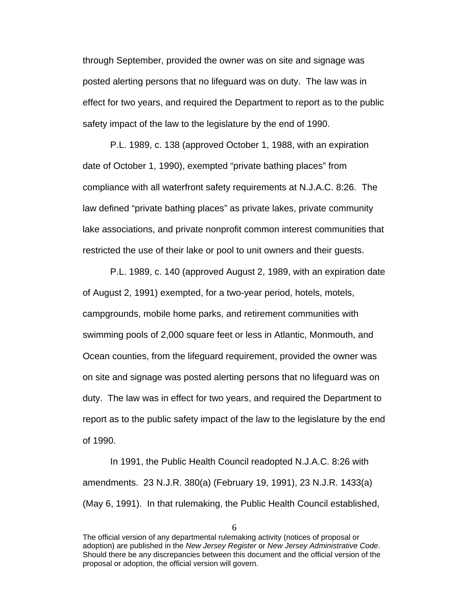through September, provided the owner was on site and signage was posted alerting persons that no lifeguard was on duty. The law was in effect for two years, and required the Department to report as to the public safety impact of the law to the legislature by the end of 1990.

P.L. 1989, c. 138 (approved October 1, 1988, with an expiration date of October 1, 1990), exempted "private bathing places" from compliance with all waterfront safety requirements at N.J.A.C. 8:26. The law defined "private bathing places" as private lakes, private community lake associations, and private nonprofit common interest communities that restricted the use of their lake or pool to unit owners and their guests.

P.L. 1989, c. 140 (approved August 2, 1989, with an expiration date of August 2, 1991) exempted, for a two-year period, hotels, motels, campgrounds, mobile home parks, and retirement communities with swimming pools of 2,000 square feet or less in Atlantic, Monmouth, and Ocean counties, from the lifeguard requirement, provided the owner was on site and signage was posted alerting persons that no lifeguard was on duty. The law was in effect for two years, and required the Department to report as to the public safety impact of the law to the legislature by the end of 1990.

In 1991, the Public Health Council readopted N.J.A.C. 8:26 with amendments. 23 N.J.R. 380(a) (February 19, 1991), 23 N.J.R. 1433(a) (May 6, 1991). In that rulemaking, the Public Health Council established,

The official version of any departmental rulemaking activity (notices of proposal or adoption) are published in the *New Jersey Register* or *New Jersey Administrative Code*. Should there be any discrepancies between this document and the official version of the proposal or adoption, the official version will govern.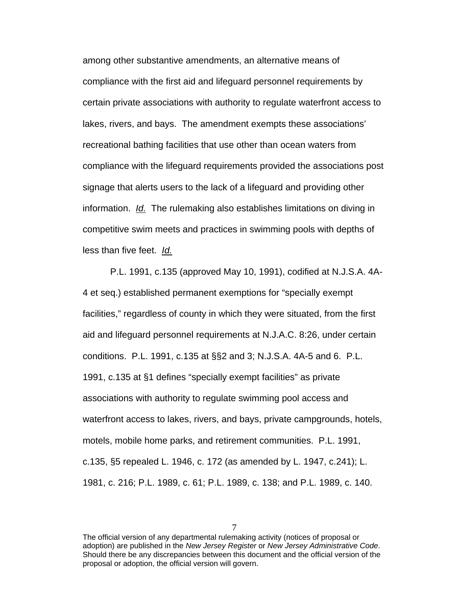among other substantive amendments, an alternative means of compliance with the first aid and lifeguard personnel requirements by certain private associations with authority to regulate waterfront access to lakes, rivers, and bays. The amendment exempts these associations' recreational bathing facilities that use other than ocean waters from compliance with the lifeguard requirements provided the associations post signage that alerts users to the lack of a lifeguard and providing other information. *Id.* The rulemaking also establishes limitations on diving in competitive swim meets and practices in swimming pools with depths of less than five feet. *Id.*

P.L. 1991, c.135 (approved May 10, 1991), codified at N.J.S.A. 4A-4 et seq.) established permanent exemptions for "specially exempt facilities," regardless of county in which they were situated, from the first aid and lifeguard personnel requirements at N.J.A.C. 8:26, under certain conditions. P.L. 1991, c.135 at §§2 and 3; N.J.S.A. 4A-5 and 6. P.L. 1991, c.135 at §1 defines "specially exempt facilities" as private associations with authority to regulate swimming pool access and waterfront access to lakes, rivers, and bays, private campgrounds, hotels, motels, mobile home parks, and retirement communities. P.L. 1991, c.135, §5 repealed L. 1946, c. 172 (as amended by L. 1947, c.241); L. 1981, c. 216; P.L. 1989, c. 61; P.L. 1989, c. 138; and P.L. 1989, c. 140.

The official version of any departmental rulemaking activity (notices of proposal or adoption) are published in the *New Jersey Register* or *New Jersey Administrative Code*. Should there be any discrepancies between this document and the official version of the proposal or adoption, the official version will govern.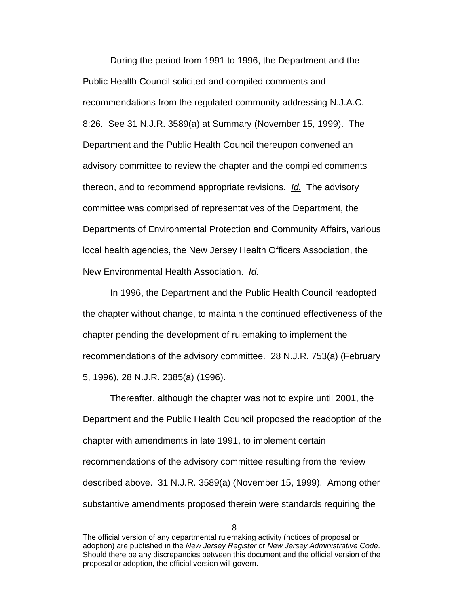During the period from 1991 to 1996, the Department and the Public Health Council solicited and compiled comments and recommendations from the regulated community addressing N.J.A.C. 8:26. See 31 N.J.R. 3589(a) at Summary (November 15, 1999). The Department and the Public Health Council thereupon convened an advisory committee to review the chapter and the compiled comments thereon, and to recommend appropriate revisions. *Id.* The advisory committee was comprised of representatives of the Department, the Departments of Environmental Protection and Community Affairs, various local health agencies, the New Jersey Health Officers Association, the New Environmental Health Association. *Id.*

In 1996, the Department and the Public Health Council readopted the chapter without change, to maintain the continued effectiveness of the chapter pending the development of rulemaking to implement the recommendations of the advisory committee. 28 N.J.R. 753(a) (February 5, 1996), 28 N.J.R. 2385(a) (1996).

Thereafter, although the chapter was not to expire until 2001, the Department and the Public Health Council proposed the readoption of the chapter with amendments in late 1991, to implement certain recommendations of the advisory committee resulting from the review described above. 31 N.J.R. 3589(a) (November 15, 1999). Among other substantive amendments proposed therein were standards requiring the

The official version of any departmental rulemaking activity (notices of proposal or adoption) are published in the *New Jersey Register* or *New Jersey Administrative Code*. Should there be any discrepancies between this document and the official version of the proposal or adoption, the official version will govern.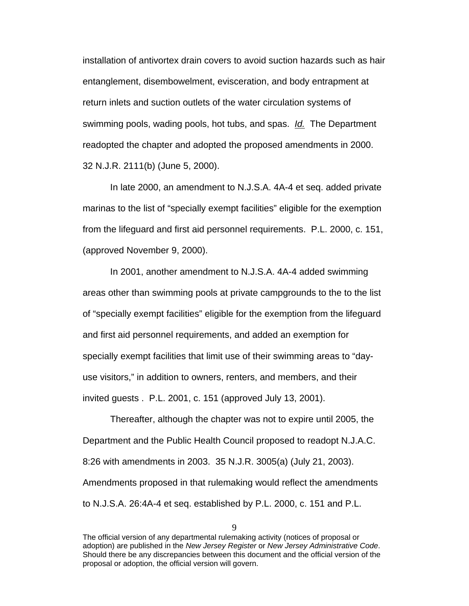installation of antivortex drain covers to avoid suction hazards such as hair entanglement, disembowelment, evisceration, and body entrapment at return inlets and suction outlets of the water circulation systems of swimming pools, wading pools, hot tubs, and spas. *Id.* The Department readopted the chapter and adopted the proposed amendments in 2000. 32 N.J.R. 2111(b) (June 5, 2000).

In late 2000, an amendment to N.J.S.A. 4A-4 et seq. added private marinas to the list of "specially exempt facilities" eligible for the exemption from the lifeguard and first aid personnel requirements. P.L. 2000, c. 151, (approved November 9, 2000).

In 2001, another amendment to N.J.S.A. 4A-4 added swimming areas other than swimming pools at private campgrounds to the to the list of "specially exempt facilities" eligible for the exemption from the lifeguard and first aid personnel requirements, and added an exemption for specially exempt facilities that limit use of their swimming areas to "dayuse visitors," in addition to owners, renters, and members, and their invited guests . P.L. 2001, c. 151 (approved July 13, 2001).

Thereafter, although the chapter was not to expire until 2005, the Department and the Public Health Council proposed to readopt N.J.A.C. 8:26 with amendments in 2003. 35 N.J.R. 3005(a) (July 21, 2003). Amendments proposed in that rulemaking would reflect the amendments to N.J.S.A. 26:4A-4 et seq. established by P.L. 2000, c. 151 and P.L.

The official version of any departmental rulemaking activity (notices of proposal or adoption) are published in the *New Jersey Register* or *New Jersey Administrative Code*. Should there be any discrepancies between this document and the official version of the proposal or adoption, the official version will govern.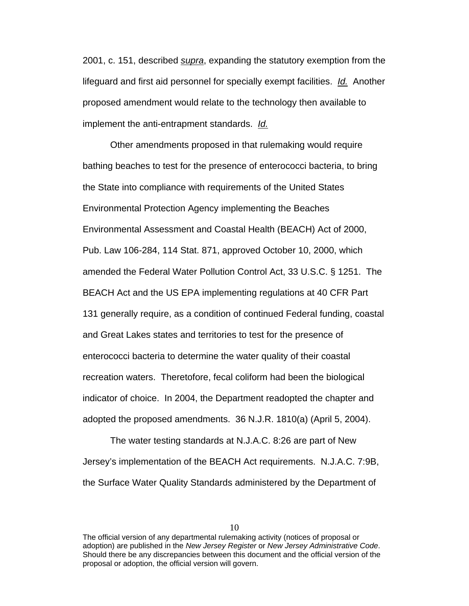2001, c. 151, described *supra*, expanding the statutory exemption from the lifeguard and first aid personnel for specially exempt facilities. *Id.* Another proposed amendment would relate to the technology then available to implement the anti-entrapment standards. *Id.*

Other amendments proposed in that rulemaking would require bathing beaches to test for the presence of enterococci bacteria, to bring the State into compliance with requirements of the United States Environmental Protection Agency implementing the Beaches Environmental Assessment and Coastal Health (BEACH) Act of 2000, Pub. Law 106-284, 114 Stat. 871, approved October 10, 2000, which amended the Federal Water Pollution Control Act, 33 U.S.C. § 1251. The BEACH Act and the US EPA implementing regulations at 40 CFR Part 131 generally require, as a condition of continued Federal funding, coastal and Great Lakes states and territories to test for the presence of enterococci bacteria to determine the water quality of their coastal recreation waters. Theretofore, fecal coliform had been the biological indicator of choice. In 2004, the Department readopted the chapter and adopted the proposed amendments. 36 N.J.R. 1810(a) (April 5, 2004).

The water testing standards at N.J.A.C. 8:26 are part of New Jersey's implementation of the BEACH Act requirements. N.J.A.C. 7:9B, the Surface Water Quality Standards administered by the Department of

The official version of any departmental rulemaking activity (notices of proposal or adoption) are published in the *New Jersey Register* or *New Jersey Administrative Code*. Should there be any discrepancies between this document and the official version of the proposal or adoption, the official version will govern.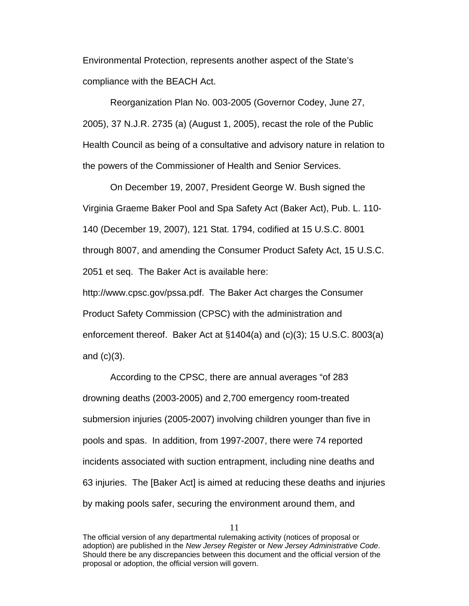Environmental Protection, represents another aspect of the State's compliance with the BEACH Act.

Reorganization Plan No. 003-2005 (Governor Codey, June 27, 2005), 37 N.J.R. 2735 (a) (August 1, 2005), recast the role of the Public Health Council as being of a consultative and advisory nature in relation to the powers of the Commissioner of Health and Senior Services.

On December 19, 2007, President George W. Bush signed the Virginia Graeme Baker Pool and Spa Safety Act (Baker Act), Pub. L. 110- 140 (December 19, 2007), 121 Stat. 1794, codified at 15 U.S.C. 8001 through 8007, and amending the Consumer Product Safety Act, 15 U.S.C. 2051 et seq. The Baker Act is available here:

http://www.cpsc.gov/pssa.pdf. The Baker Act charges the Consumer Product Safety Commission (CPSC) with the administration and enforcement thereof. Baker Act at §1404(a) and (c)(3); 15 U.S.C. 8003(a) and  $(c)(3)$ .

According to the CPSC, there are annual averages "of 283 drowning deaths (2003-2005) and 2,700 emergency room-treated submersion injuries (2005-2007) involving children younger than five in pools and spas. In addition, from 1997-2007, there were 74 reported incidents associated with suction entrapment, including nine deaths and 63 injuries. The [Baker Act] is aimed at reducing these deaths and injuries by making pools safer, securing the environment around them, and

The official version of any departmental rulemaking activity (notices of proposal or adoption) are published in the *New Jersey Register* or *New Jersey Administrative Code*. Should there be any discrepancies between this document and the official version of the proposal or adoption, the official version will govern.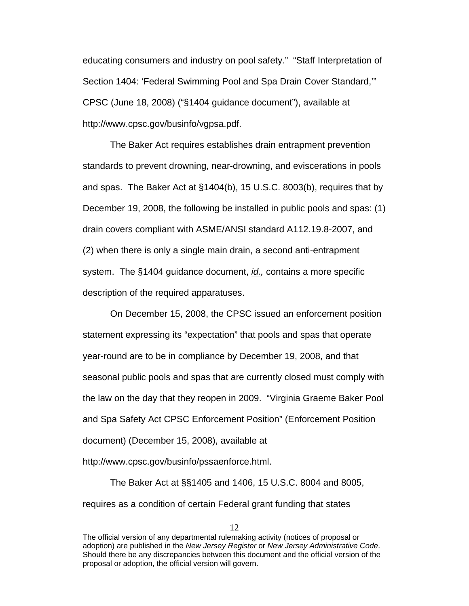educating consumers and industry on pool safety." "Staff Interpretation of Section 1404: 'Federal Swimming Pool and Spa Drain Cover Standard,'" CPSC (June 18, 2008) ("§1404 guidance document"), available at http://www.cpsc.gov/businfo/vgpsa.pdf.

The Baker Act requires establishes drain entrapment prevention standards to prevent drowning, near-drowning, and eviscerations in pools and spas. The Baker Act at §1404(b), 15 U.S.C. 8003(b), requires that by December 19, 2008, the following be installed in public pools and spas: (1) drain covers compliant with ASME/ANSI standard A112.19.8-2007, and (2) when there is only a single main drain, a second anti-entrapment system. The §1404 guidance document, *id.,* contains a more specific description of the required apparatuses.

On December 15, 2008, the CPSC issued an enforcement position statement expressing its "expectation" that pools and spas that operate year-round are to be in compliance by December 19, 2008, and that seasonal public pools and spas that are currently closed must comply with the law on the day that they reopen in 2009. "Virginia Graeme Baker Pool and Spa Safety Act CPSC Enforcement Position" (Enforcement Position document) (December 15, 2008), available at

http://www.cpsc.gov/businfo/pssaenforce.html.

The Baker Act at §§1405 and 1406, 15 U.S.C. 8004 and 8005, requires as a condition of certain Federal grant funding that states

The official version of any departmental rulemaking activity (notices of proposal or adoption) are published in the *New Jersey Register* or *New Jersey Administrative Code*. Should there be any discrepancies between this document and the official version of the proposal or adoption, the official version will govern.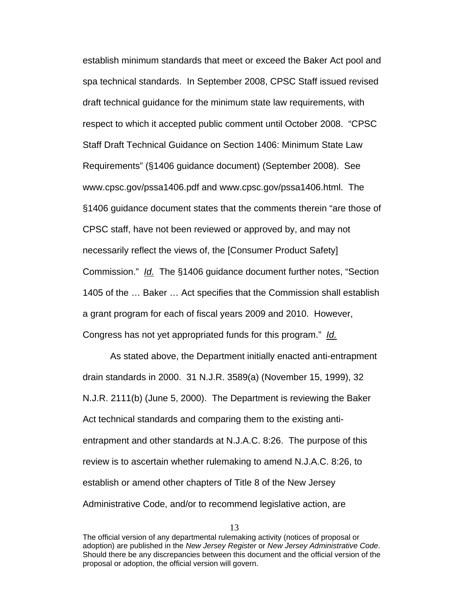establish minimum standards that meet or exceed the Baker Act pool and spa technical standards. In September 2008, CPSC Staff issued revised draft technical guidance for the minimum state law requirements, with respect to which it accepted public comment until October 2008. "CPSC Staff Draft Technical Guidance on Section 1406: Minimum State Law Requirements" (§1406 guidance document) (September 2008). See www.cpsc.gov/pssa1406.pdf and www.cpsc.gov/pssa1406.html. The §1406 guidance document states that the comments therein "are those of CPSC staff, have not been reviewed or approved by, and may not necessarily reflect the views of, the [Consumer Product Safety] Commission." *Id.* The §1406 guidance document further notes, "Section 1405 of the … Baker … Act specifies that the Commission shall establish a grant program for each of fiscal years 2009 and 2010. However, Congress has not yet appropriated funds for this program." *Id.*

As stated above, the Department initially enacted anti-entrapment drain standards in 2000. 31 N.J.R. 3589(a) (November 15, 1999), 32 N.J.R. 2111(b) (June 5, 2000). The Department is reviewing the Baker Act technical standards and comparing them to the existing antientrapment and other standards at N.J.A.C. 8:26. The purpose of this review is to ascertain whether rulemaking to amend N.J.A.C. 8:26, to establish or amend other chapters of Title 8 of the New Jersey Administrative Code, and/or to recommend legislative action, are

The official version of any departmental rulemaking activity (notices of proposal or adoption) are published in the *New Jersey Register* or *New Jersey Administrative Code*. Should there be any discrepancies between this document and the official version of the proposal or adoption, the official version will govern.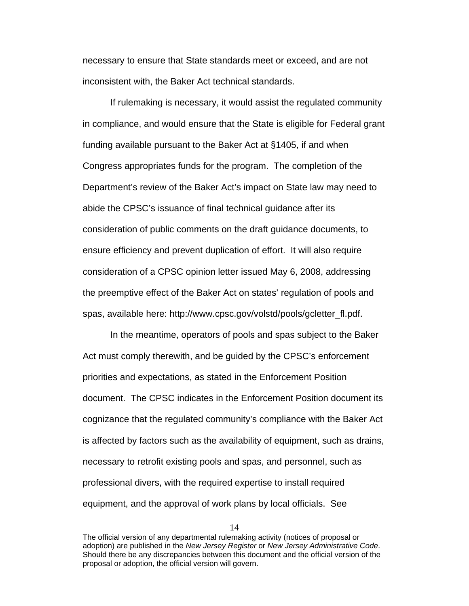necessary to ensure that State standards meet or exceed, and are not inconsistent with, the Baker Act technical standards.

If rulemaking is necessary, it would assist the regulated community in compliance, and would ensure that the State is eligible for Federal grant funding available pursuant to the Baker Act at §1405, if and when Congress appropriates funds for the program. The completion of the Department's review of the Baker Act's impact on State law may need to abide the CPSC's issuance of final technical guidance after its consideration of public comments on the draft guidance documents, to ensure efficiency and prevent duplication of effort. It will also require consideration of a CPSC opinion letter issued May 6, 2008, addressing the preemptive effect of the Baker Act on states' regulation of pools and spas, available here: http://www.cpsc.gov/volstd/pools/gcletter\_fl.pdf.

In the meantime, operators of pools and spas subject to the Baker Act must comply therewith, and be guided by the CPSC's enforcement priorities and expectations, as stated in the Enforcement Position document. The CPSC indicates in the Enforcement Position document its cognizance that the regulated community's compliance with the Baker Act is affected by factors such as the availability of equipment, such as drains, necessary to retrofit existing pools and spas, and personnel, such as professional divers, with the required expertise to install required equipment, and the approval of work plans by local officials. See

14

The official version of any departmental rulemaking activity (notices of proposal or adoption) are published in the *New Jersey Register* or *New Jersey Administrative Code*. Should there be any discrepancies between this document and the official version of the proposal or adoption, the official version will govern.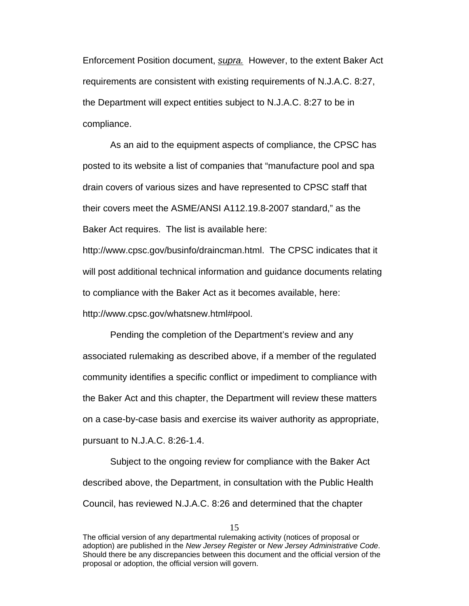Enforcement Position document, *supra.* However, to the extent Baker Act requirements are consistent with existing requirements of N.J.A.C. 8:27, the Department will expect entities subject to N.J.A.C. 8:27 to be in compliance.

As an aid to the equipment aspects of compliance, the CPSC has posted to its website a list of companies that "manufacture pool and spa drain covers of various sizes and have represented to CPSC staff that their covers meet the ASME/ANSI A112.19.8-2007 standard," as the Baker Act requires. The list is available here:

http://www.cpsc.gov/businfo/draincman.html. The CPSC indicates that it will post additional technical information and guidance documents relating to compliance with the Baker Act as it becomes available, here:

http://www.cpsc.gov/whatsnew.html#pool.

Pending the completion of the Department's review and any associated rulemaking as described above, if a member of the regulated community identifies a specific conflict or impediment to compliance with the Baker Act and this chapter, the Department will review these matters on a case-by-case basis and exercise its waiver authority as appropriate, pursuant to N.J.A.C. 8:26-1.4.

Subject to the ongoing review for compliance with the Baker Act described above, the Department, in consultation with the Public Health Council, has reviewed N.J.A.C. 8:26 and determined that the chapter

The official version of any departmental rulemaking activity (notices of proposal or adoption) are published in the *New Jersey Register* or *New Jersey Administrative Code*. Should there be any discrepancies between this document and the official version of the proposal or adoption, the official version will govern.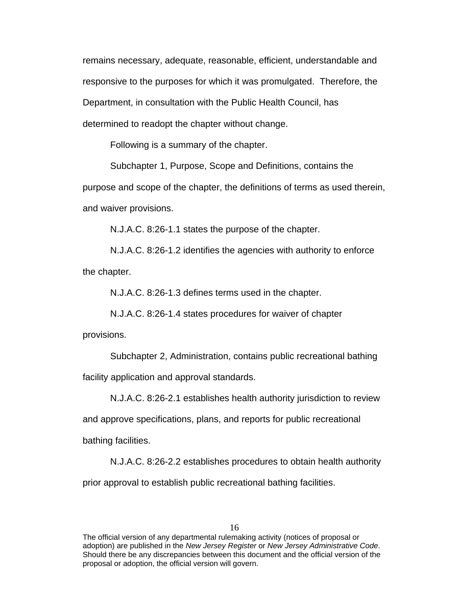remains necessary, adequate, reasonable, efficient, understandable and responsive to the purposes for which it was promulgated. Therefore, the Department, in consultation with the Public Health Council, has determined to readopt the chapter without change.

Following is a summary of the chapter.

Subchapter 1, Purpose, Scope and Definitions, contains the

purpose and scope of the chapter, the definitions of terms as used therein, and waiver provisions.

N.J.A.C. 8:26-1.1 states the purpose of the chapter.

N.J.A.C. 8:26-1.2 identifies the agencies with authority to enforce the chapter.

N.J.A.C. 8:26-1.3 defines terms used in the chapter.

N.J.A.C. 8:26-1.4 states procedures for waiver of chapter

provisions.

Subchapter 2, Administration, contains public recreational bathing facility application and approval standards.

N.J.A.C. 8:26-2.1 establishes health authority jurisdiction to review

and approve specifications, plans, and reports for public recreational

bathing facilities.

N.J.A.C. 8:26-2.2 establishes procedures to obtain health authority

prior approval to establish public recreational bathing facilities.

The official version of any departmental rulemaking activity (notices of proposal or adoption) are published in the *New Jersey Register* or *New Jersey Administrative Code*. Should there be any discrepancies between this document and the official version of the proposal or adoption, the official version will govern.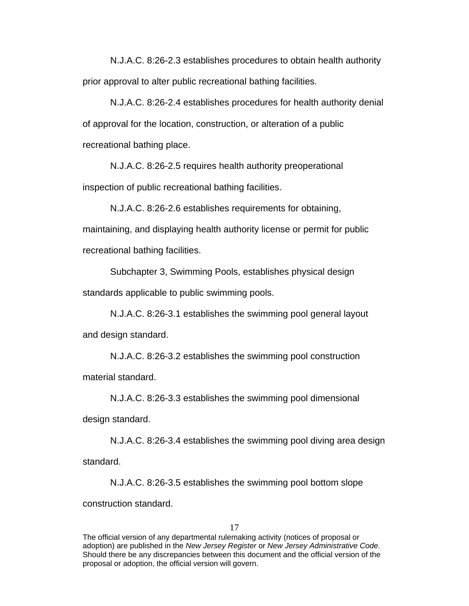N.J.A.C. 8:26-2.3 establishes procedures to obtain health authority prior approval to alter public recreational bathing facilities.

N.J.A.C. 8:26-2.4 establishes procedures for health authority denial of approval for the location, construction, or alteration of a public recreational bathing place.

N.J.A.C. 8:26-2.5 requires health authority preoperational inspection of public recreational bathing facilities.

N.J.A.C. 8:26-2.6 establishes requirements for obtaining, maintaining, and displaying health authority license or permit for public recreational bathing facilities.

Subchapter 3, Swimming Pools, establishes physical design standards applicable to public swimming pools.

N.J.A.C. 8:26-3.1 establishes the swimming pool general layout and design standard.

N.J.A.C. 8:26-3.2 establishes the swimming pool construction material standard.

N.J.A.C. 8:26-3.3 establishes the swimming pool dimensional

design standard.

N.J.A.C. 8:26-3.4 establishes the swimming pool diving area design standard.

N.J.A.C. 8:26-3.5 establishes the swimming pool bottom slope construction standard.

The official version of any departmental rulemaking activity (notices of proposal or adoption) are published in the *New Jersey Register* or *New Jersey Administrative Code*. Should there be any discrepancies between this document and the official version of the proposal or adoption, the official version will govern.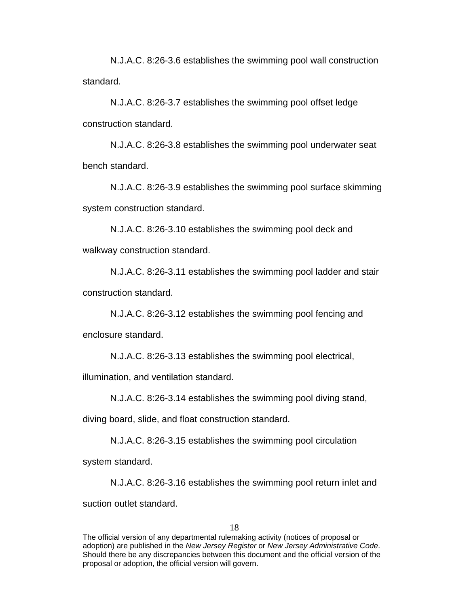N.J.A.C. 8:26-3.6 establishes the swimming pool wall construction standard.

N.J.A.C. 8:26-3.7 establishes the swimming pool offset ledge construction standard.

N.J.A.C. 8:26-3.8 establishes the swimming pool underwater seat bench standard.

N.J.A.C. 8:26-3.9 establishes the swimming pool surface skimming system construction standard.

N.J.A.C. 8:26-3.10 establishes the swimming pool deck and walkway construction standard.

N.J.A.C. 8:26-3.11 establishes the swimming pool ladder and stair construction standard.

N.J.A.C. 8:26-3.12 establishes the swimming pool fencing and enclosure standard.

N.J.A.C. 8:26-3.13 establishes the swimming pool electrical,

illumination, and ventilation standard.

N.J.A.C. 8:26-3.14 establishes the swimming pool diving stand,

diving board, slide, and float construction standard.

N.J.A.C. 8:26-3.15 establishes the swimming pool circulation

system standard.

N.J.A.C. 8:26-3.16 establishes the swimming pool return inlet and suction outlet standard.

The official version of any departmental rulemaking activity (notices of proposal or adoption) are published in the *New Jersey Register* or *New Jersey Administrative Code*. Should there be any discrepancies between this document and the official version of the proposal or adoption, the official version will govern.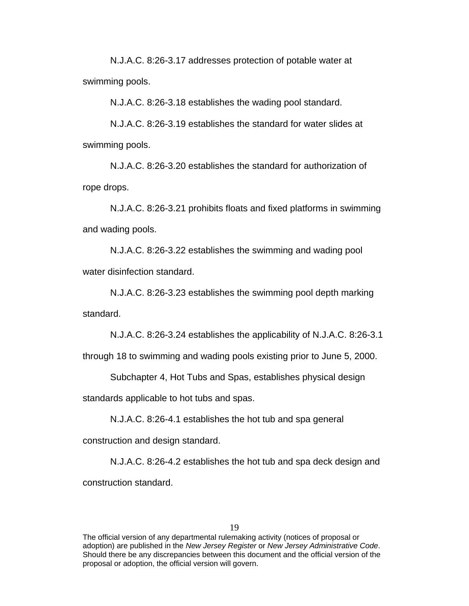N.J.A.C. 8:26-3.17 addresses protection of potable water at swimming pools.

N.J.A.C. 8:26-3.18 establishes the wading pool standard.

N.J.A.C. 8:26-3.19 establishes the standard for water slides at swimming pools.

N.J.A.C. 8:26-3.20 establishes the standard for authorization of rope drops.

N.J.A.C. 8:26-3.21 prohibits floats and fixed platforms in swimming and wading pools.

N.J.A.C. 8:26-3.22 establishes the swimming and wading pool water disinfection standard.

N.J.A.C. 8:26-3.23 establishes the swimming pool depth marking standard.

N.J.A.C. 8:26-3.24 establishes the applicability of N.J.A.C. 8:26-3.1

through 18 to swimming and wading pools existing prior to June 5, 2000.

Subchapter 4, Hot Tubs and Spas, establishes physical design

standards applicable to hot tubs and spas.

N.J.A.C. 8:26-4.1 establishes the hot tub and spa general

construction and design standard.

N.J.A.C. 8:26-4.2 establishes the hot tub and spa deck design and construction standard.

The official version of any departmental rulemaking activity (notices of proposal or adoption) are published in the *New Jersey Register* or *New Jersey Administrative Code*. Should there be any discrepancies between this document and the official version of the proposal or adoption, the official version will govern.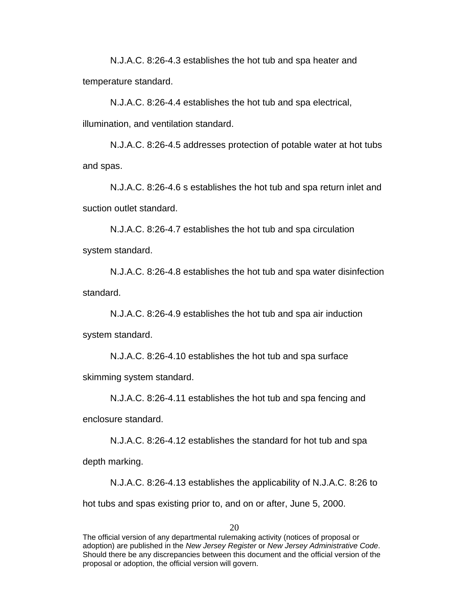N.J.A.C. 8:26-4.3 establishes the hot tub and spa heater and temperature standard.

N.J.A.C. 8:26-4.4 establishes the hot tub and spa electrical,

illumination, and ventilation standard.

N.J.A.C. 8:26-4.5 addresses protection of potable water at hot tubs and spas.

N.J.A.C. 8:26-4.6 s establishes the hot tub and spa return inlet and suction outlet standard.

N.J.A.C. 8:26-4.7 establishes the hot tub and spa circulation system standard.

N.J.A.C. 8:26-4.8 establishes the hot tub and spa water disinfection standard.

N.J.A.C. 8:26-4.9 establishes the hot tub and spa air induction system standard.

N.J.A.C. 8:26-4.10 establishes the hot tub and spa surface

skimming system standard.

N.J.A.C. 8:26-4.11 establishes the hot tub and spa fencing and

enclosure standard.

N.J.A.C. 8:26-4.12 establishes the standard for hot tub and spa

depth marking.

N.J.A.C. 8:26-4.13 establishes the applicability of N.J.A.C. 8:26 to

hot tubs and spas existing prior to, and on or after, June 5, 2000.

The official version of any departmental rulemaking activity (notices of proposal or adoption) are published in the *New Jersey Register* or *New Jersey Administrative Code*. Should there be any discrepancies between this document and the official version of the proposal or adoption, the official version will govern.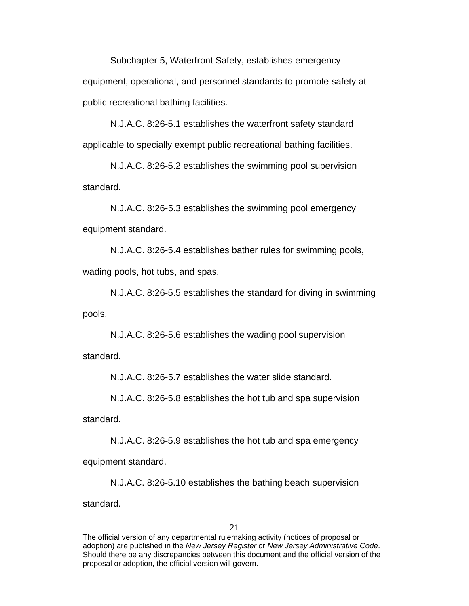Subchapter 5, Waterfront Safety, establishes emergency equipment, operational, and personnel standards to promote safety at public recreational bathing facilities.

N.J.A.C. 8:26-5.1 establishes the waterfront safety standard applicable to specially exempt public recreational bathing facilities.

N.J.A.C. 8:26-5.2 establishes the swimming pool supervision standard.

N.J.A.C. 8:26-5.3 establishes the swimming pool emergency equipment standard.

N.J.A.C. 8:26-5.4 establishes bather rules for swimming pools, wading pools, hot tubs, and spas.

N.J.A.C. 8:26-5.5 establishes the standard for diving in swimming pools.

N.J.A.C. 8:26-5.6 establishes the wading pool supervision standard.

N.J.A.C. 8:26-5.7 establishes the water slide standard.

N.J.A.C. 8:26-5.8 establishes the hot tub and spa supervision

standard.

N.J.A.C. 8:26-5.9 establishes the hot tub and spa emergency

equipment standard.

N.J.A.C. 8:26-5.10 establishes the bathing beach supervision

standard.

The official version of any departmental rulemaking activity (notices of proposal or adoption) are published in the *New Jersey Register* or *New Jersey Administrative Code*. Should there be any discrepancies between this document and the official version of the proposal or adoption, the official version will govern.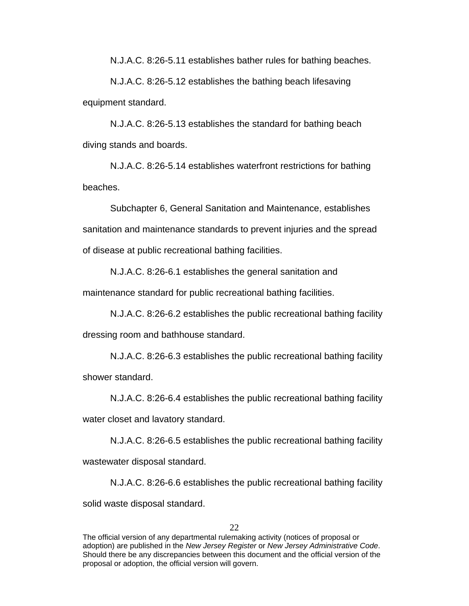N.J.A.C. 8:26-5.11 establishes bather rules for bathing beaches.

N.J.A.C. 8:26-5.12 establishes the bathing beach lifesaving equipment standard.

N.J.A.C. 8:26-5.13 establishes the standard for bathing beach diving stands and boards.

N.J.A.C. 8:26-5.14 establishes waterfront restrictions for bathing beaches.

Subchapter 6, General Sanitation and Maintenance, establishes sanitation and maintenance standards to prevent injuries and the spread of disease at public recreational bathing facilities.

N.J.A.C. 8:26-6.1 establishes the general sanitation and

maintenance standard for public recreational bathing facilities.

N.J.A.C. 8:26-6.2 establishes the public recreational bathing facility dressing room and bathhouse standard.

N.J.A.C. 8:26-6.3 establishes the public recreational bathing facility shower standard.

N.J.A.C. 8:26-6.4 establishes the public recreational bathing facility

water closet and lavatory standard.

N.J.A.C. 8:26-6.5 establishes the public recreational bathing facility

wastewater disposal standard.

N.J.A.C. 8:26-6.6 establishes the public recreational bathing facility solid waste disposal standard.

The official version of any departmental rulemaking activity (notices of proposal or adoption) are published in the *New Jersey Register* or *New Jersey Administrative Code*. Should there be any discrepancies between this document and the official version of the proposal or adoption, the official version will govern.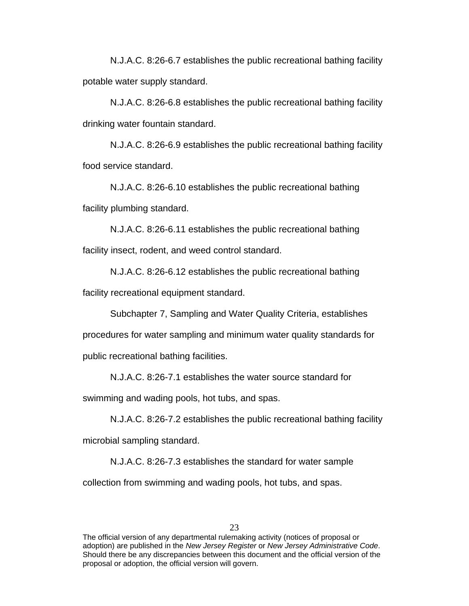N.J.A.C. 8:26-6.7 establishes the public recreational bathing facility potable water supply standard.

N.J.A.C. 8:26-6.8 establishes the public recreational bathing facility drinking water fountain standard.

N.J.A.C. 8:26-6.9 establishes the public recreational bathing facility food service standard.

N.J.A.C. 8:26-6.10 establishes the public recreational bathing facility plumbing standard.

N.J.A.C. 8:26-6.11 establishes the public recreational bathing facility insect, rodent, and weed control standard.

N.J.A.C. 8:26-6.12 establishes the public recreational bathing facility recreational equipment standard.

Subchapter 7, Sampling and Water Quality Criteria, establishes

procedures for water sampling and minimum water quality standards for public recreational bathing facilities.

N.J.A.C. 8:26-7.1 establishes the water source standard for

swimming and wading pools, hot tubs, and spas.

N.J.A.C. 8:26-7.2 establishes the public recreational bathing facility

microbial sampling standard.

N.J.A.C. 8:26-7.3 establishes the standard for water sample

collection from swimming and wading pools, hot tubs, and spas.

The official version of any departmental rulemaking activity (notices of proposal or adoption) are published in the *New Jersey Register* or *New Jersey Administrative Code*. Should there be any discrepancies between this document and the official version of the proposal or adoption, the official version will govern.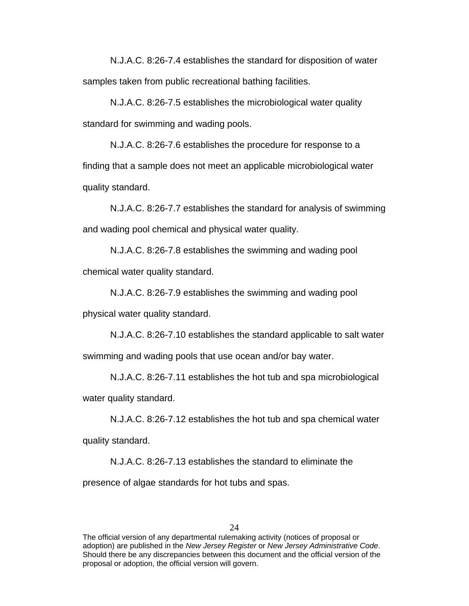N.J.A.C. 8:26-7.4 establishes the standard for disposition of water samples taken from public recreational bathing facilities.

N.J.A.C. 8:26-7.5 establishes the microbiological water quality standard for swimming and wading pools.

N.J.A.C. 8:26-7.6 establishes the procedure for response to a finding that a sample does not meet an applicable microbiological water quality standard.

N.J.A.C. 8:26-7.7 establishes the standard for analysis of swimming and wading pool chemical and physical water quality.

N.J.A.C. 8:26-7.8 establishes the swimming and wading pool chemical water quality standard.

N.J.A.C. 8:26-7.9 establishes the swimming and wading pool physical water quality standard.

N.J.A.C. 8:26-7.10 establishes the standard applicable to salt water swimming and wading pools that use ocean and/or bay water.

N.J.A.C. 8:26-7.11 establishes the hot tub and spa microbiological water quality standard.

N.J.A.C. 8:26-7.12 establishes the hot tub and spa chemical water quality standard.

N.J.A.C. 8:26-7.13 establishes the standard to eliminate the

presence of algae standards for hot tubs and spas.

The official version of any departmental rulemaking activity (notices of proposal or adoption) are published in the *New Jersey Register* or *New Jersey Administrative Code*. Should there be any discrepancies between this document and the official version of the proposal or adoption, the official version will govern.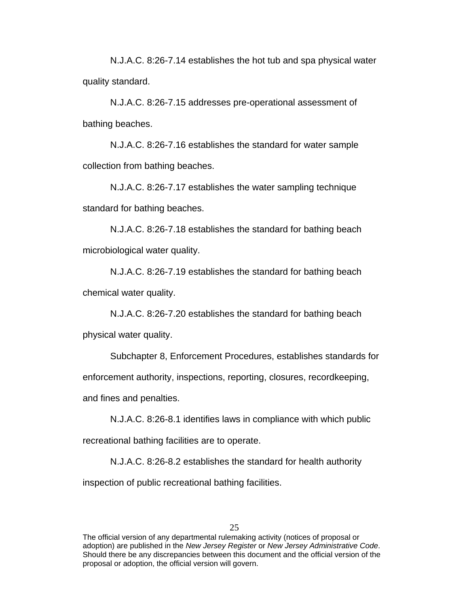N.J.A.C. 8:26-7.14 establishes the hot tub and spa physical water quality standard.

N.J.A.C. 8:26-7.15 addresses pre-operational assessment of bathing beaches.

N.J.A.C. 8:26-7.16 establishes the standard for water sample collection from bathing beaches.

N.J.A.C. 8:26-7.17 establishes the water sampling technique standard for bathing beaches.

N.J.A.C. 8:26-7.18 establishes the standard for bathing beach microbiological water quality.

N.J.A.C. 8:26-7.19 establishes the standard for bathing beach chemical water quality.

N.J.A.C. 8:26-7.20 establishes the standard for bathing beach physical water quality.

Subchapter 8, Enforcement Procedures, establishes standards for

enforcement authority, inspections, reporting, closures, recordkeeping,

and fines and penalties.

N.J.A.C. 8:26-8.1 identifies laws in compliance with which public

recreational bathing facilities are to operate.

N.J.A.C. 8:26-8.2 establishes the standard for health authority

inspection of public recreational bathing facilities.

The official version of any departmental rulemaking activity (notices of proposal or adoption) are published in the *New Jersey Register* or *New Jersey Administrative Code*. Should there be any discrepancies between this document and the official version of the proposal or adoption, the official version will govern.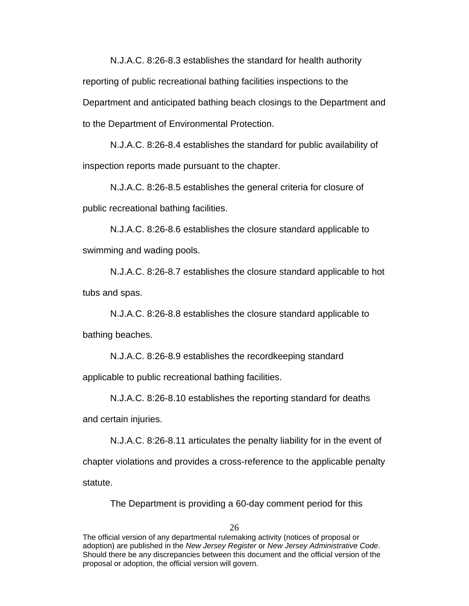N.J.A.C. 8:26-8.3 establishes the standard for health authority reporting of public recreational bathing facilities inspections to the Department and anticipated bathing beach closings to the Department and to the Department of Environmental Protection.

N.J.A.C. 8:26-8.4 establishes the standard for public availability of inspection reports made pursuant to the chapter.

N.J.A.C. 8:26-8.5 establishes the general criteria for closure of public recreational bathing facilities.

N.J.A.C. 8:26-8.6 establishes the closure standard applicable to swimming and wading pools.

N.J.A.C. 8:26-8.7 establishes the closure standard applicable to hot tubs and spas.

N.J.A.C. 8:26-8.8 establishes the closure standard applicable to bathing beaches.

N.J.A.C. 8:26-8.9 establishes the recordkeeping standard

applicable to public recreational bathing facilities.

N.J.A.C. 8:26-8.10 establishes the reporting standard for deaths

and certain injuries.

N.J.A.C. 8:26-8.11 articulates the penalty liability for in the event of chapter violations and provides a cross-reference to the applicable penalty statute.

The Department is providing a 60-day comment period for this

The official version of any departmental rulemaking activity (notices of proposal or adoption) are published in the *New Jersey Register* or *New Jersey Administrative Code*. Should there be any discrepancies between this document and the official version of the proposal or adoption, the official version will govern.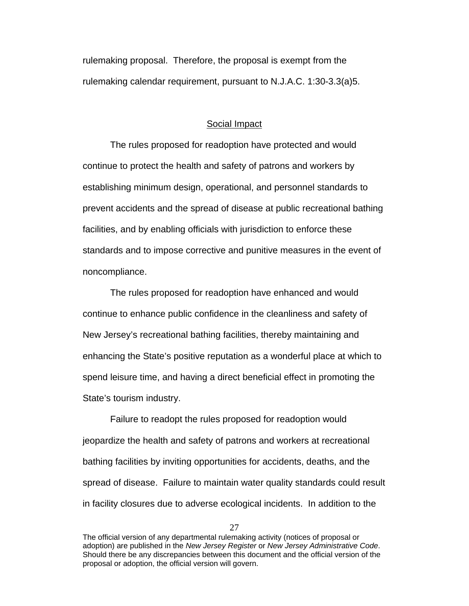rulemaking proposal. Therefore, the proposal is exempt from the rulemaking calendar requirement, pursuant to N.J.A.C. 1:30-3.3(a)5.

# Social Impact

The rules proposed for readoption have protected and would continue to protect the health and safety of patrons and workers by establishing minimum design, operational, and personnel standards to prevent accidents and the spread of disease at public recreational bathing facilities, and by enabling officials with jurisdiction to enforce these standards and to impose corrective and punitive measures in the event of noncompliance.

The rules proposed for readoption have enhanced and would continue to enhance public confidence in the cleanliness and safety of New Jersey's recreational bathing facilities, thereby maintaining and enhancing the State's positive reputation as a wonderful place at which to spend leisure time, and having a direct beneficial effect in promoting the State's tourism industry.

Failure to readopt the rules proposed for readoption would jeopardize the health and safety of patrons and workers at recreational bathing facilities by inviting opportunities for accidents, deaths, and the spread of disease. Failure to maintain water quality standards could result in facility closures due to adverse ecological incidents. In addition to the

The official version of any departmental rulemaking activity (notices of proposal or adoption) are published in the *New Jersey Register* or *New Jersey Administrative Code*. Should there be any discrepancies between this document and the official version of the proposal or adoption, the official version will govern.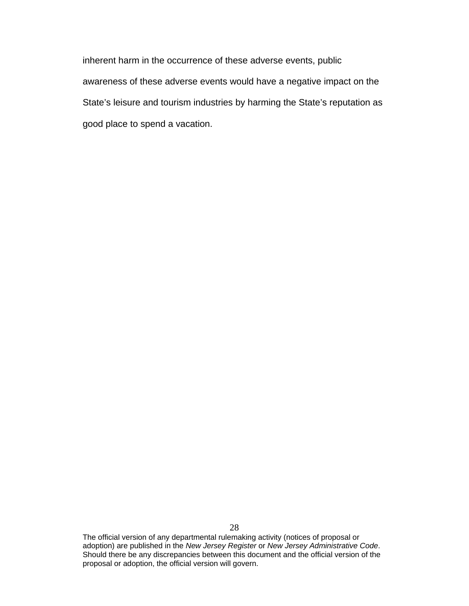inherent harm in the occurrence of these adverse events, public awareness of these adverse events would have a negative impact on the State's leisure and tourism industries by harming the State's reputation as good place to spend a vacation.

The official version of any departmental rulemaking activity (notices of proposal or adoption) are published in the *New Jersey Register* or *New Jersey Administrative Code*. Should there be any discrepancies between this document and the official version of the proposal or adoption, the official version will govern.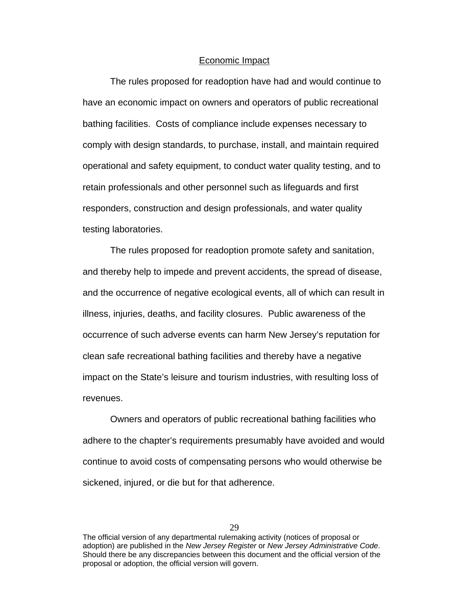## Economic Impact

The rules proposed for readoption have had and would continue to have an economic impact on owners and operators of public recreational bathing facilities. Costs of compliance include expenses necessary to comply with design standards, to purchase, install, and maintain required operational and safety equipment, to conduct water quality testing, and to retain professionals and other personnel such as lifeguards and first responders, construction and design professionals, and water quality testing laboratories.

The rules proposed for readoption promote safety and sanitation, and thereby help to impede and prevent accidents, the spread of disease, and the occurrence of negative ecological events, all of which can result in illness, injuries, deaths, and facility closures. Public awareness of the occurrence of such adverse events can harm New Jersey's reputation for clean safe recreational bathing facilities and thereby have a negative impact on the State's leisure and tourism industries, with resulting loss of revenues.

Owners and operators of public recreational bathing facilities who adhere to the chapter's requirements presumably have avoided and would continue to avoid costs of compensating persons who would otherwise be sickened, injured, or die but for that adherence.

The official version of any departmental rulemaking activity (notices of proposal or adoption) are published in the *New Jersey Register* or *New Jersey Administrative Code*. Should there be any discrepancies between this document and the official version of the proposal or adoption, the official version will govern.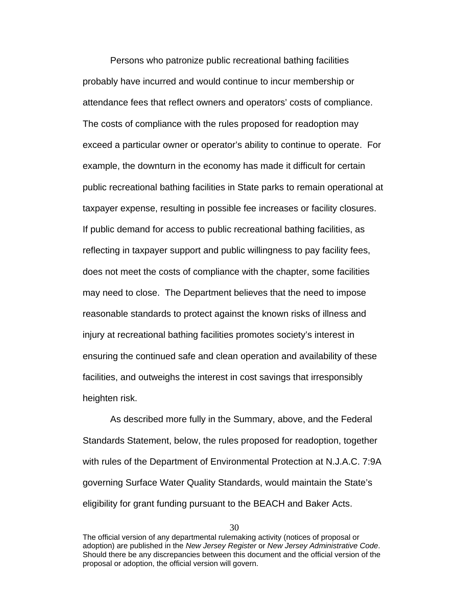Persons who patronize public recreational bathing facilities probably have incurred and would continue to incur membership or attendance fees that reflect owners and operators' costs of compliance. The costs of compliance with the rules proposed for readoption may exceed a particular owner or operator's ability to continue to operate. For example, the downturn in the economy has made it difficult for certain public recreational bathing facilities in State parks to remain operational at taxpayer expense, resulting in possible fee increases or facility closures. If public demand for access to public recreational bathing facilities, as reflecting in taxpayer support and public willingness to pay facility fees, does not meet the costs of compliance with the chapter, some facilities may need to close. The Department believes that the need to impose reasonable standards to protect against the known risks of illness and injury at recreational bathing facilities promotes society's interest in ensuring the continued safe and clean operation and availability of these facilities, and outweighs the interest in cost savings that irresponsibly heighten risk.

As described more fully in the Summary, above, and the Federal Standards Statement, below, the rules proposed for readoption, together with rules of the Department of Environmental Protection at N.J.A.C. 7:9A governing Surface Water Quality Standards, would maintain the State's eligibility for grant funding pursuant to the BEACH and Baker Acts.

The official version of any departmental rulemaking activity (notices of proposal or adoption) are published in the *New Jersey Register* or *New Jersey Administrative Code*. Should there be any discrepancies between this document and the official version of the proposal or adoption, the official version will govern.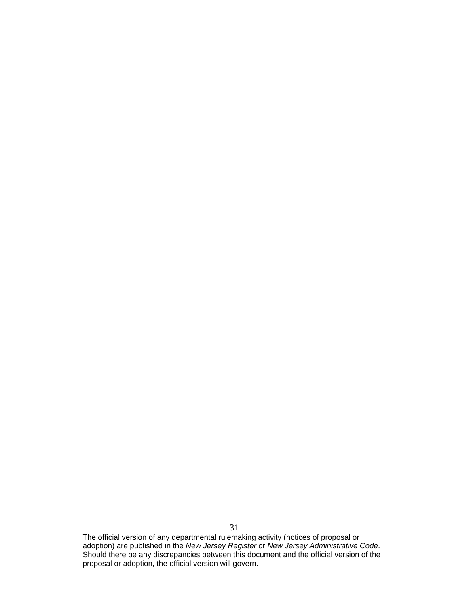The official version of any departmental rulemaking activity (notices of proposal or adoption) are published in the *New Jersey Register* or *New Jersey Administrative Code*. Should there be any discrepancies between this document and the official version of the proposal or adoption, the official version will govern.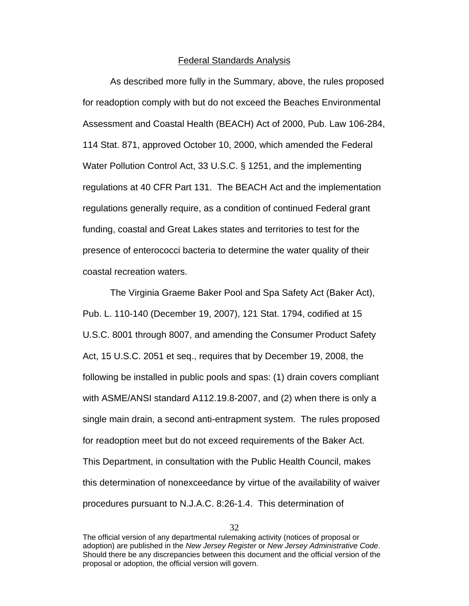# Federal Standards Analysis

As described more fully in the Summary, above, the rules proposed for readoption comply with but do not exceed the Beaches Environmental Assessment and Coastal Health (BEACH) Act of 2000, Pub. Law 106-284, 114 Stat. 871, approved October 10, 2000, which amended the Federal Water Pollution Control Act, 33 U.S.C. § 1251, and the implementing regulations at 40 CFR Part 131. The BEACH Act and the implementation regulations generally require, as a condition of continued Federal grant funding, coastal and Great Lakes states and territories to test for the presence of enterococci bacteria to determine the water quality of their coastal recreation waters.

The Virginia Graeme Baker Pool and Spa Safety Act (Baker Act), Pub. L. 110-140 (December 19, 2007), 121 Stat. 1794, codified at 15 U.S.C. 8001 through 8007, and amending the Consumer Product Safety Act, 15 U.S.C. 2051 et seq., requires that by December 19, 2008, the following be installed in public pools and spas: (1) drain covers compliant with ASME/ANSI standard A112.19.8-2007, and (2) when there is only a single main drain, a second anti-entrapment system. The rules proposed for readoption meet but do not exceed requirements of the Baker Act. This Department, in consultation with the Public Health Council, makes this determination of nonexceedance by virtue of the availability of waiver procedures pursuant to N.J.A.C. 8:26-1.4. This determination of

The official version of any departmental rulemaking activity (notices of proposal or adoption) are published in the *New Jersey Register* or *New Jersey Administrative Code*. Should there be any discrepancies between this document and the official version of the proposal or adoption, the official version will govern.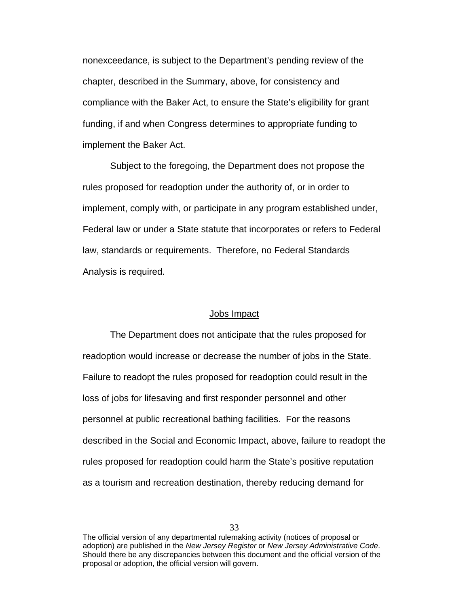nonexceedance, is subject to the Department's pending review of the chapter, described in the Summary, above, for consistency and compliance with the Baker Act, to ensure the State's eligibility for grant funding, if and when Congress determines to appropriate funding to implement the Baker Act.

Subject to the foregoing, the Department does not propose the rules proposed for readoption under the authority of, or in order to implement, comply with, or participate in any program established under, Federal law or under a State statute that incorporates or refers to Federal law, standards or requirements. Therefore, no Federal Standards Analysis is required.

#### Jobs Impact

The Department does not anticipate that the rules proposed for readoption would increase or decrease the number of jobs in the State. Failure to readopt the rules proposed for readoption could result in the loss of jobs for lifesaving and first responder personnel and other personnel at public recreational bathing facilities. For the reasons described in the Social and Economic Impact, above, failure to readopt the rules proposed for readoption could harm the State's positive reputation as a tourism and recreation destination, thereby reducing demand for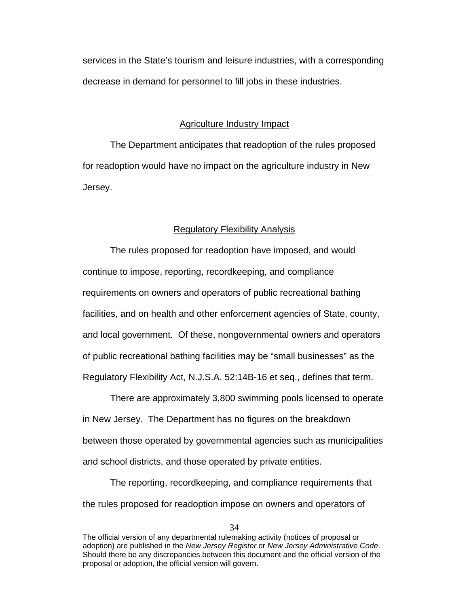services in the State's tourism and leisure industries, with a corresponding decrease in demand for personnel to fill jobs in these industries.

# Agriculture Industry Impact

The Department anticipates that readoption of the rules proposed for readoption would have no impact on the agriculture industry in New Jersey.

#### Regulatory Flexibility Analysis

The rules proposed for readoption have imposed, and would continue to impose, reporting, recordkeeping, and compliance requirements on owners and operators of public recreational bathing facilities, and on health and other enforcement agencies of State, county, and local government. Of these, nongovernmental owners and operators of public recreational bathing facilities may be "small businesses" as the Regulatory Flexibility Act, N.J.S.A. 52:14B-16 et seq., defines that term.

There are approximately 3,800 swimming pools licensed to operate in New Jersey. The Department has no figures on the breakdown between those operated by governmental agencies such as municipalities and school districts, and those operated by private entities.

The reporting, recordkeeping, and compliance requirements that the rules proposed for readoption impose on owners and operators of

The official version of any departmental rulemaking activity (notices of proposal or adoption) are published in the *New Jersey Register* or *New Jersey Administrative Code*. Should there be any discrepancies between this document and the official version of the proposal or adoption, the official version will govern.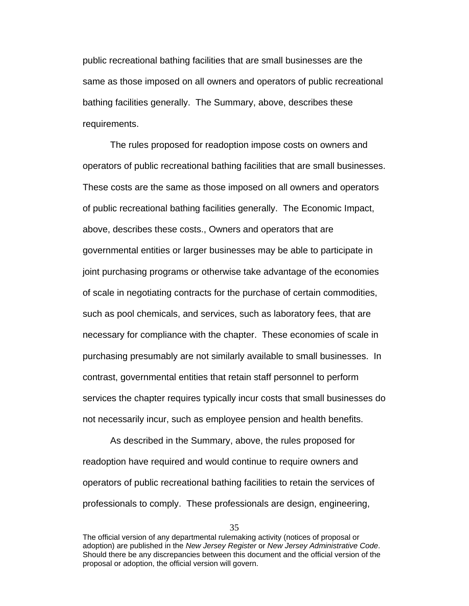public recreational bathing facilities that are small businesses are the same as those imposed on all owners and operators of public recreational bathing facilities generally. The Summary, above, describes these requirements.

The rules proposed for readoption impose costs on owners and operators of public recreational bathing facilities that are small businesses. These costs are the same as those imposed on all owners and operators of public recreational bathing facilities generally. The Economic Impact, above, describes these costs., Owners and operators that are governmental entities or larger businesses may be able to participate in joint purchasing programs or otherwise take advantage of the economies of scale in negotiating contracts for the purchase of certain commodities, such as pool chemicals, and services, such as laboratory fees, that are necessary for compliance with the chapter. These economies of scale in purchasing presumably are not similarly available to small businesses. In contrast, governmental entities that retain staff personnel to perform services the chapter requires typically incur costs that small businesses do not necessarily incur, such as employee pension and health benefits.

As described in the Summary, above, the rules proposed for readoption have required and would continue to require owners and operators of public recreational bathing facilities to retain the services of professionals to comply. These professionals are design, engineering,

The official version of any departmental rulemaking activity (notices of proposal or adoption) are published in the *New Jersey Register* or *New Jersey Administrative Code*. Should there be any discrepancies between this document and the official version of the proposal or adoption, the official version will govern.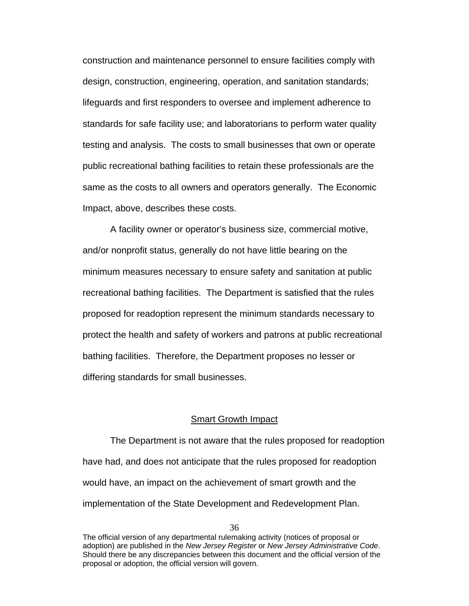construction and maintenance personnel to ensure facilities comply with design, construction, engineering, operation, and sanitation standards; lifeguards and first responders to oversee and implement adherence to standards for safe facility use; and laboratorians to perform water quality testing and analysis. The costs to small businesses that own or operate public recreational bathing facilities to retain these professionals are the same as the costs to all owners and operators generally. The Economic Impact, above, describes these costs.

A facility owner or operator's business size, commercial motive, and/or nonprofit status, generally do not have little bearing on the minimum measures necessary to ensure safety and sanitation at public recreational bathing facilities. The Department is satisfied that the rules proposed for readoption represent the minimum standards necessary to protect the health and safety of workers and patrons at public recreational bathing facilities. Therefore, the Department proposes no lesser or differing standards for small businesses.

#### Smart Growth Impact

The Department is not aware that the rules proposed for readoption have had, and does not anticipate that the rules proposed for readoption would have, an impact on the achievement of smart growth and the implementation of the State Development and Redevelopment Plan.

The official version of any departmental rulemaking activity (notices of proposal or adoption) are published in the *New Jersey Register* or *New Jersey Administrative Code*. Should there be any discrepancies between this document and the official version of the proposal or adoption, the official version will govern.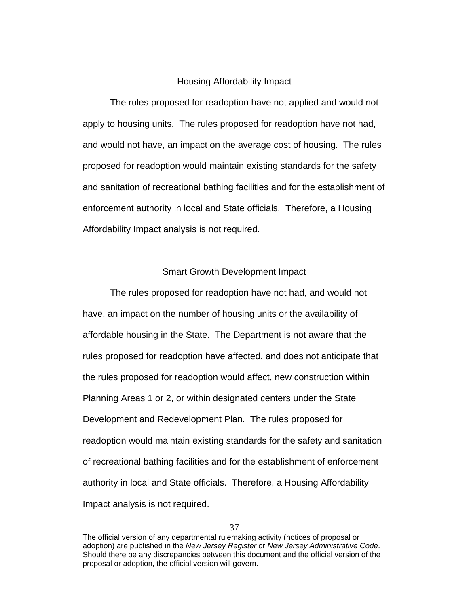## Housing Affordability Impact

The rules proposed for readoption have not applied and would not apply to housing units. The rules proposed for readoption have not had, and would not have, an impact on the average cost of housing. The rules proposed for readoption would maintain existing standards for the safety and sanitation of recreational bathing facilities and for the establishment of enforcement authority in local and State officials. Therefore, a Housing Affordability Impact analysis is not required.

# Smart Growth Development Impact

The rules proposed for readoption have not had, and would not have, an impact on the number of housing units or the availability of affordable housing in the State. The Department is not aware that the rules proposed for readoption have affected, and does not anticipate that the rules proposed for readoption would affect, new construction within Planning Areas 1 or 2, or within designated centers under the State Development and Redevelopment Plan. The rules proposed for readoption would maintain existing standards for the safety and sanitation of recreational bathing facilities and for the establishment of enforcement authority in local and State officials. Therefore, a Housing Affordability Impact analysis is not required.

The official version of any departmental rulemaking activity (notices of proposal or adoption) are published in the *New Jersey Register* or *New Jersey Administrative Code*. Should there be any discrepancies between this document and the official version of the proposal or adoption, the official version will govern.